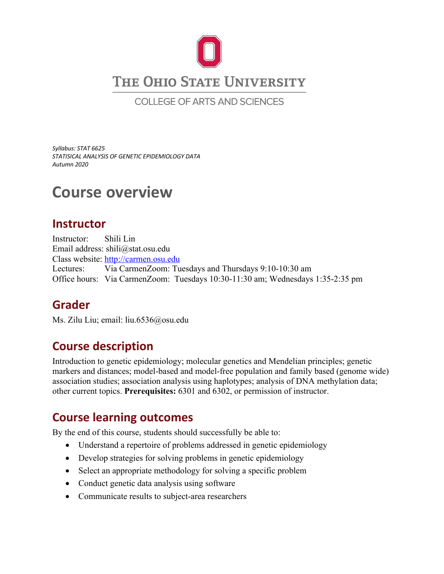

COLLEGE OF ARTS AND SCIENCES

*Syllabus: STAT 6625 STATISICAL ANALYSIS OF GENETIC EPIDEMIOLOGY DATA Autumn 2020*

# **Course overview**

### **Instructor**

Instructor: Shili Lin Email address: shili@stat.osu.edu Class website: http://carmen.osu.edu Lectures: Via CarmenZoom: Tuesdays and Thursdays 9:10-10:30 am Office hours: Via CarmenZoom: Tuesdays 10:30-11:30 am; Wednesdays 1:35-2:35 pm

# **Grader**

Ms. Zilu Liu; email: liu.6536@osu.edu

# **Course description**

Introduction to genetic epidemiology; molecular genetics and Mendelian principles; genetic markers and distances; model-based and model-free population and family based (genome wide) association studies; association analysis using haplotypes; analysis of DNA methylation data; other current topics. **Prerequisites:** 6301 and 6302, or permission of instructor.

# **Course learning outcomes**

By the end of this course, students should successfully be able to:

- Understand a repertoire of problems addressed in genetic epidemiology
- Develop strategies for solving problems in genetic epidemiology
- Select an appropriate methodology for solving a specific problem
- Conduct genetic data analysis using software
- Communicate results to subject-area researchers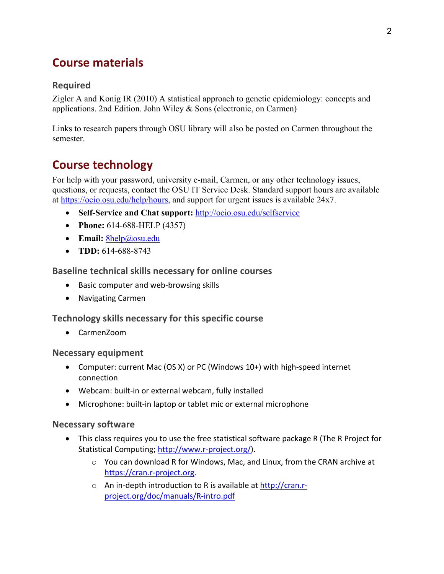# **Course materials**

#### **Required**

Zigler A and Konig IR (2010) A statistical approach to genetic epidemiology: concepts and applications. 2nd Edition. John Wiley & Sons (electronic, on Carmen)

Links to research papers through OSU library will also be posted on Carmen throughout the semester.

# **Course technology**

For help with your password, university e-mail, Carmen, or any other technology issues, questions, or requests, contact the OSU IT Service Desk. Standard support hours are available at https://ocio.osu.edu/help/hours, and support for urgent issues is available 24x7.

- Self-Service and Chat support: http://ocio.osu.edu/selfservice
- **Phone:** 614-688-HELP (4357)
- **Email:** 8help@osu.edu
- **TDD:** 614-688-8743

**Baseline technical skills necessary for online courses**

- Basic computer and web-browsing skills
- Navigating Carmen

#### **Technology skills necessary for this specific course**

• CarmenZoom

#### **Necessary equipment**

- Computer: current Mac (OS X) or PC (Windows 10+) with high-speed internet connection
- Webcam: built-in or external webcam, fully installed
- Microphone: built-in laptop or tablet mic or external microphone

#### **Necessary software**

- This class requires you to use the free statistical software package R (The R Project for Statistical Computing; http://www.r-project.org/).
	- o You can download R for Windows, Mac, and Linux, from the CRAN archive at https://cran.r-project.org.
	- o An in-depth introduction to R is available at http://cran.rproject.org/doc/manuals/R-intro.pdf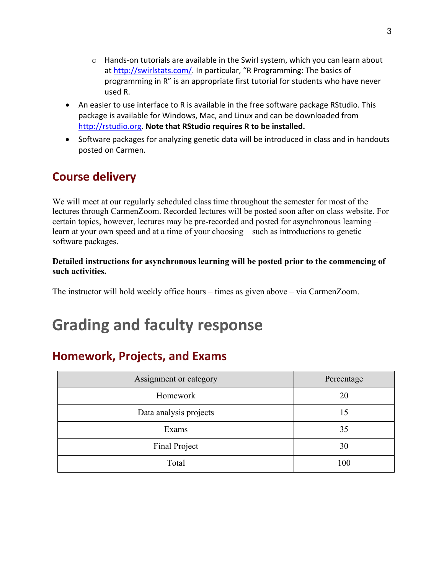- $\circ$  Hands-on tutorials are available in the Swirl system, which you can learn about at http://swirlstats.com/. In particular, "R Programming: The basics of programming in R" is an appropriate first tutorial for students who have never used R.
- An easier to use interface to R is available in the free software package RStudio. This package is available for Windows, Mac, and Linux and can be downloaded from http://rstudio.org. **Note that RStudio requires R to be installed.**
- Software packages for analyzing genetic data will be introduced in class and in handouts posted on Carmen.

# **Course delivery**

We will meet at our regularly scheduled class time throughout the semester for most of the lectures through CarmenZoom. Recorded lectures will be posted soon after on class website. For certain topics, however, lectures may be pre-recorded and posted for asynchronous learning – learn at your own speed and at a time of your choosing – such as introductions to genetic software packages.

#### **Detailed instructions for asynchronous learning will be posted prior to the commencing of such activities.**

The instructor will hold weekly office hours – times as given above – via CarmenZoom.

# **Grading and faculty response**

# **Homework, Projects, and Exams**

| Assignment or category | Percentage |
|------------------------|------------|
| Homework               | 20         |
| Data analysis projects | 15         |
| Exams                  | 35         |
| Final Project          | 30         |
| Total                  | 100        |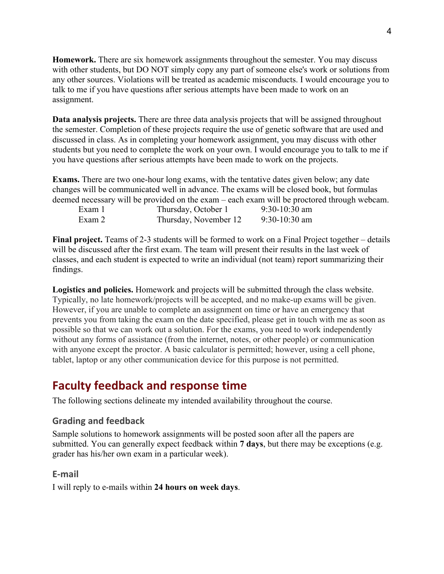**Homework.** There are six homework assignments throughout the semester. You may discuss with other students, but DO NOT simply copy any part of someone else's work or solutions from any other sources. Violations will be treated as academic misconducts. I would encourage you to talk to me if you have questions after serious attempts have been made to work on an assignment.

**Data analysis projects.** There are three data analysis projects that will be assigned throughout the semester. Completion of these projects require the use of genetic software that are used and discussed in class. As in completing your homework assignment, you may discuss with other students but you need to complete the work on your own. I would encourage you to talk to me if you have questions after serious attempts have been made to work on the projects.

**Exams.** There are two one-hour long exams, with the tentative dates given below; any date changes will be communicated well in advance. The exams will be closed book, but formulas deemed necessary will be provided on the exam – each exam will be proctored through webcam.

| Exam 1 | Thursday, October 1   | $9:30-10:30$ am |
|--------|-----------------------|-----------------|
| Exam 2 | Thursday, November 12 | $9:30-10:30$ am |

**Final project.** Teams of 2-3 students will be formed to work on a Final Project together – details will be discussed after the first exam. The team will present their results in the last week of classes, and each student is expected to write an individual (not team) report summarizing their findings.

**Logistics and policies.** Homework and projects will be submitted through the class website. Typically, no late homework/projects will be accepted, and no make-up exams will be given. However, if you are unable to complete an assignment on time or have an emergency that prevents you from taking the exam on the date specified, please get in touch with me as soon as possible so that we can work out a solution. For the exams, you need to work independently without any forms of assistance (from the internet, notes, or other people) or communication with anyone except the proctor. A basic calculator is permitted; however, using a cell phone, tablet, laptop or any other communication device for this purpose is not permitted.

## **Faculty feedback and response time**

The following sections delineate my intended availability throughout the course.

#### **Grading and feedback**

Sample solutions to homework assignments will be posted soon after all the papers are submitted. You can generally expect feedback within **7 days**, but there may be exceptions (e.g. grader has his/her own exam in a particular week).

#### **E-mail**

I will reply to e-mails within **24 hours on week days**.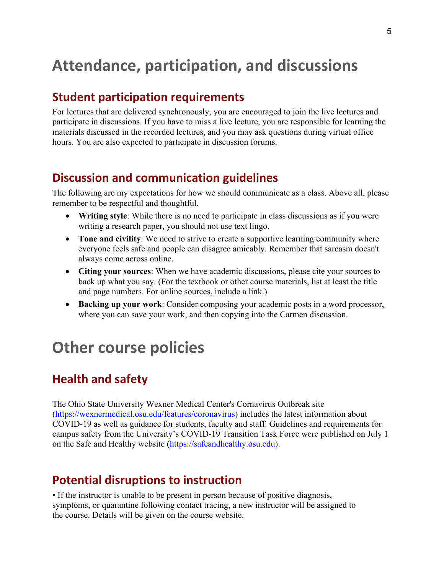# **Attendance, participation, and discussions**

### **Student participation requirements**

For lectures that are delivered synchronously, you are encouraged to join the live lectures and participate in discussions. If you have to miss a live lecture, you are responsible for learning the materials discussed in the recorded lectures, and you may ask questions during virtual office hours. You are also expected to participate in discussion forums.

## **Discussion and communication guidelines**

The following are my expectations for how we should communicate as a class. Above all, please remember to be respectful and thoughtful.

- **Writing style**: While there is no need to participate in class discussions as if you were writing a research paper, you should not use text lingo.
- **Tone and civility**: We need to strive to create a supportive learning community where everyone feels safe and people can disagree amicably. Remember that sarcasm doesn't always come across online.
- **Citing your sources**: When we have academic discussions, please cite your sources to back up what you say. (For the textbook or other course materials, list at least the title and page numbers. For online sources, include a link.)
- **Backing up your work**: Consider composing your academic posts in a word processor, where you can save your work, and then copying into the Carmen discussion.

# **Other course policies**

## **Health and safety**

The Ohio State University Wexner Medical Center's Cornavirus Outbreak site (https://wexnermedical.osu.edu/features/coronavirus) includes the latest information about COVID-19 as well as guidance for students, faculty and staff. Guidelines and requirements for campus safety from the University's COVID-19 Transition Task Force were published on July 1 on the Safe and Healthy website (https://safeandhealthy.osu.edu).

## **Potential disruptions to instruction**

• If the instructor is unable to be present in person because of positive diagnosis, symptoms, or quarantine following contact tracing, a new instructor will be assigned to the course. Details will be given on the course website.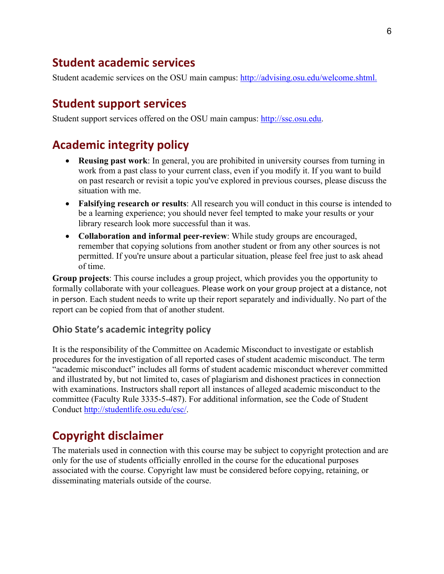### **Student academic services**

Student academic services on the OSU main campus: http://advising.osu.edu/welcome.shtml.

### **Student support services**

Student support services offered on the OSU main campus: http://ssc.osu.edu.

## **Academic integrity policy**

- **Reusing past work**: In general, you are prohibited in university courses from turning in work from a past class to your current class, even if you modify it. If you want to build on past research or revisit a topic you've explored in previous courses, please discuss the situation with me.
- **Falsifying research or results**: All research you will conduct in this course is intended to be a learning experience; you should never feel tempted to make your results or your library research look more successful than it was.
- **Collaboration and informal peer-review**: While study groups are encouraged, remember that copying solutions from another student or from any other sources is not permitted. If you're unsure about a particular situation, please feel free just to ask ahead of time.

**Group projects**: This course includes a group project, which provides you the opportunity to formally collaborate with your colleagues. Please work on your group project at a distance, not in person. Each student needs to write up their report separately and individually. No part of the report can be copied from that of another student.

#### **Ohio State's academic integrity policy**

It is the responsibility of the Committee on Academic Misconduct to investigate or establish procedures for the investigation of all reported cases of student academic misconduct. The term "academic misconduct" includes all forms of student academic misconduct wherever committed and illustrated by, but not limited to, cases of plagiarism and dishonest practices in connection with examinations. Instructors shall report all instances of alleged academic misconduct to the committee (Faculty Rule 3335-5-487). For additional information, see the Code of Student Conduct http://studentlife.osu.edu/csc/.

# **Copyright disclaimer**

The materials used in connection with this course may be subject to copyright protection and are only for the use of students officially enrolled in the course for the educational purposes associated with the course. Copyright law must be considered before copying, retaining, or disseminating materials outside of the course.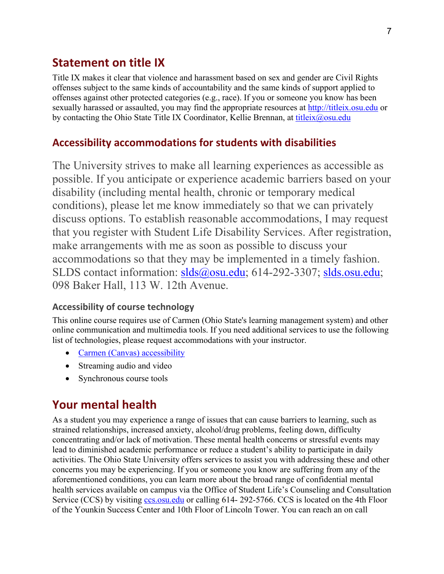### **Statement on title IX**

Title IX makes it clear that violence and harassment based on sex and gender are Civil Rights offenses subject to the same kinds of accountability and the same kinds of support applied to offenses against other protected categories (e.g., race). If you or someone you know has been sexually harassed or assaulted, you may find the appropriate resources at http://titleix.osu.edu or by contacting the Ohio State Title IX Coordinator, Kellie Brennan, at titleix@osu.edu

#### **Accessibility accommodations for students with disabilities**

The University strives to make all learning experiences as accessible as possible. If you anticipate or experience academic barriers based on your disability (including mental health, chronic or temporary medical conditions), please let me know immediately so that we can privately discuss options. To establish reasonable accommodations, I may request that you register with Student Life Disability Services. After registration, make arrangements with me as soon as possible to discuss your accommodations so that they may be implemented in a timely fashion. SLDS contact information: slds@osu.edu; 614-292-3307; slds.osu.edu; 098 Baker Hall, 113 W. 12th Avenue.

#### **Accessibility of course technology**

This online course requires use of Carmen (Ohio State's learning management system) and other online communication and multimedia tools. If you need additional services to use the following list of technologies, please request accommodations with your instructor.

- Carmen (Canvas) accessibility
- Streaming audio and video
- Synchronous course tools

## **Your mental health**

As a student you may experience a range of issues that can cause barriers to learning, such as strained relationships, increased anxiety, alcohol/drug problems, feeling down, difficulty concentrating and/or lack of motivation. These mental health concerns or stressful events may lead to diminished academic performance or reduce a student's ability to participate in daily activities. The Ohio State University offers services to assist you with addressing these and other concerns you may be experiencing. If you or someone you know are suffering from any of the aforementioned conditions, you can learn more about the broad range of confidential mental health services available on campus via the Office of Student Life's Counseling and Consultation Service (CCS) by visiting ccs.osu.edu or calling 614- 292-5766. CCS is located on the 4th Floor of the Younkin Success Center and 10th Floor of Lincoln Tower. You can reach an on call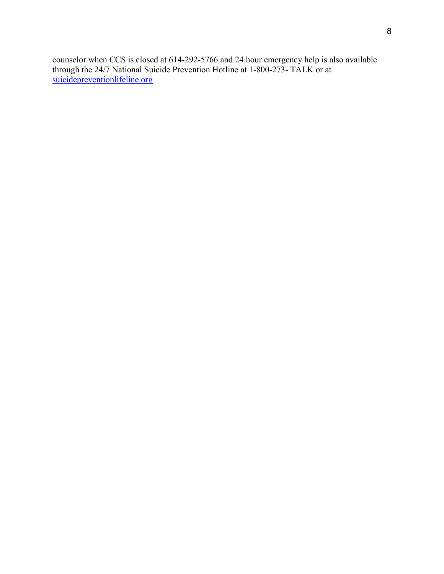counselor when CCS is closed at 614-292-5766 and 24 hour emergency help is also available through the 24/7 National Suicide Prevention Hotline at 1-800-273- TALK or at suicidepreventionlifeline.org